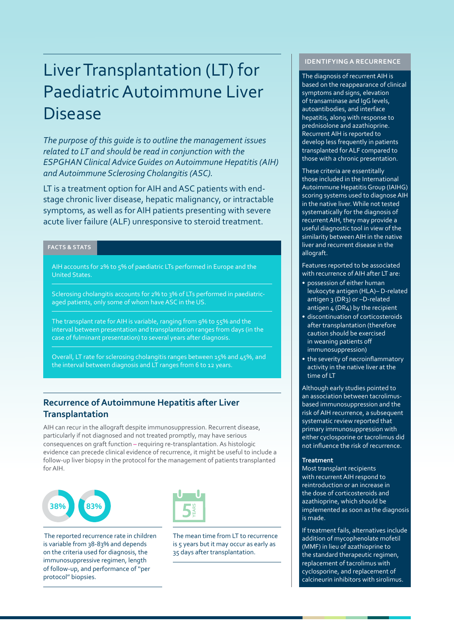# Liver Transplantation (LT) for Paediatric Autoimmune Liver Disease

*The purpose of this guide is to outline the management issues related to LT and should be read in conjunction with the ESPGHAN Clinical Advice Guides on Autoimmune Hepatitis (AIH) and Autoimmune Sclerosing Cholangitis (ASC).* 

LT is a treatment option for AIH and ASC patients with endstage chronic liver disease, hepatic malignancy, or intractable symptoms, as well as for AIH patients presenting with severe acute liver failure (ALF) unresponsive to steroid treatment.

## **FACTS & STATS**

AIH accounts for 2% to 5% of paediatric LTs performed in Europe and the United States.

Sclerosing cholangitis accounts for 2% to 3% of LTs performed in paediatricaged patients, only some of whom have ASC in the US.

The transplant rate for AIH is variable, ranging from 9% to 55% and the interval between presentation and transplantation ranges from days (in the case of fulminant presentation) to several years after diagnosis.

Overall, LT rate for sclerosing cholangitis ranges between 15% and 45%, and the interval between diagnosis and LT ranges from 6 to 12 years.

# **Recurrence of Autoimmune Hepatitis after Liver Transplantation**

AIH can recur in the allograft despite immunosuppression. Recurrent disease, particularly if not diagnosed and not treated promptly, may have serious consequences on graft function – requiring re-transplantation. As histologic evidence can precede clinical evidence of recurrence, it might be useful to include a follow-up liver biopsy in the protocol for the management of patients transplanted for AIH.





 The reported recurrence rate in children is variable from 38-83% and depends on the criteria used for diagnosis, the immunosuppressive regimen, length of follow-up, and performance of ''per protocol'' biopsies.

The mean time from LT to recurrence is 5 years but it may occur as early as 35 days after transplantation.

## **IDENTIFYING A RECURRENCE**

The diagnosis of recurrent AIH is based on the reappearance of clinical symptoms and signs, elevation of transaminase and IgG levels, autoantibodies, and interface hepatitis, along with response to prednisolone and azathioprine. Recurrent AIH is reported to develop less frequently in patients transplanted for ALF compared to those with a chronic presentation.

These criteria are essentitally those included in the International Autoimmune Hepatitis Group (IAIHG) scoring systems used to diagnose AIH in the native liver. While not tested systematically for the diagnosis of recurrent AIH, they may provide a useful diagnostic tool in view of the similarity between AIH in the native liver and recurrent disease in the allograft.

Features reported to be associated with recurrence of AIH after LT are:

- possession of either human leukocyte antigen (HLA)– D-related antigen 3 (DR3) or -D-related antigen 4 (DR4) by the recipient
- discontinuation of corticosteroids after transplantation (therefore caution should be exercised in weaning patients off immunosuppression)
- the severity of necroinflammatory activity in the native liver at the time of LT

Although early studies pointed to an association between tacrolimusbased immunosuppression and the risk of AIH recurrence, a subsequent systematic review reported that primary immunosuppression with either cyclosporine or tacrolimus did not influence the risk of recurrence.

#### **Treatment**

Most transplant recipients with recurrent AIH respond to reintroduction or an increase in the dose of corticosteroids and azathioprine, which should be implemented as soon as the diagnosis is made.

If treatment fails, alternatives include addition of mycophenolate mofetil (MMF) in lieu of azathioprine to the standard therapeutic regimen, replacement of tacrolimus with cyclosporine, and replacement of calcineurin inhibitors with sirolimus.